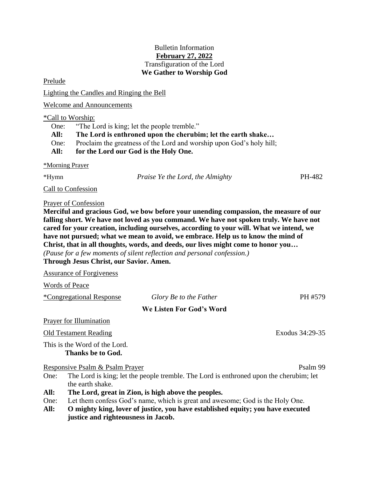## Bulletin Information **February 27, 2022** Transfiguration of the Lord **We Gather to Worship God**

Prelude

Lighting the Candles and Ringing the Bell

Welcome and Announcements

## \*Call to Worship:

One: "The Lord is king; let the people tremble." **All: The Lord is enthroned upon the cherubim; let the earth shake…** One: Proclaim the greatness of the Lord and worship upon God's holy hill; **All: for the Lord our God is the Holy One.**

#### \*Morning Prayer

\*Hymn *Praise Ye the Lord, the Almighty* PH-482

Call to Confession

## Prayer of Confession

**Merciful and gracious God, we bow before your unending compassion, the measure of our falling short. We have not loved as you command. We have not spoken truly. We have not cared for your creation, including ourselves, according to your will. What we intend, we have not pursued; what we mean to avoid, we embrace. Help us to know the mind of Christ, that in all thoughts, words, and deeds, our lives might come to honor you…**

*(Pause for a few moments of silent reflection and personal confession.)* **Through Jesus Christ, our Savior. Amen.**

Assurance of Forgiveness

Words of Peace

\*Congregational Response *Glory Be to the Father* PH #579

# **We Listen For God's Word**

Prayer for Illumination

# Old Testament Reading Exodus 34:29-35

This is the Word of the Lord. **Thanks be to God.**

Responsive Psalm & Psalm Prayer Psalm 99

- One: The Lord is king; let the people tremble. The Lord is enthroned upon the cherubim; let the earth shake.
- **All: The Lord, great in Zion, is high above the peoples.**
- One: Let them confess God's name, which is great and awesome; God is the Holy One.
- **All: O mighty king, lover of justice, you have established equity; you have executed justice and righteousness in Jacob.**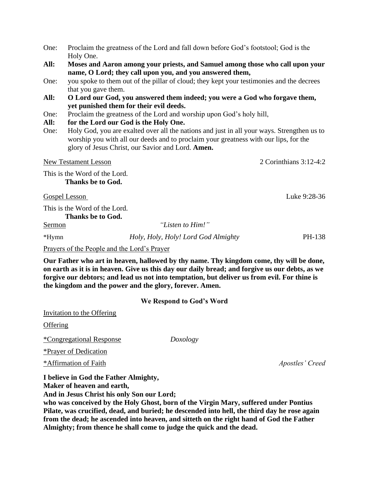| One: | Proclaim the greatness of the Lord and fall down before God's footstool; God is the |
|------|-------------------------------------------------------------------------------------|
|      | Holy One.                                                                           |

- **All: Moses and Aaron among your priests, and Samuel among those who call upon your name, O Lord; they call upon you, and you answered them,**
- One: you spoke to them out of the pillar of cloud; they kept your testimonies and the decrees that you gave them.
- **All: O Lord our God, you answered them indeed; you were a God who forgave them, yet punished them for their evil deeds.**
- One: Proclaim the greatness of the Lord and worship upon God's holy hill,
- **All: for the Lord our God is the Holy One.**
- One: Holy God, you are exalted over all the nations and just in all your ways. Strengthen us to worship you with all our deeds and to proclaim your greatness with our lips, for the glory of Jesus Christ, our Savior and Lord. **Amen.**

New Testament Lesson 2 Corinthians 3:12-4:2

This is the Word of the Lord. **Thanks be to God.**

This is the Word of the Lord.

**Thanks be to God.**

Sermon *"Listen to Him!"* 

\*Hymn *Holy, Holy, Holy! Lord God Almighty* PH-138

Prayers of the People and the Lord's Prayer

**Our Father who art in heaven, hallowed by thy name. Thy kingdom come, thy will be done, on earth as it is in heaven. Give us this day our daily bread; and forgive us our debts, as we forgive our debtors; and lead us not into temptation, but deliver us from evil. For thine is the kingdom and the power and the glory, forever. Amen.**

#### **We Respond to God's Word**

Invitation to the Offering

**Offering** 

\*Congregational Response *Doxology*

\*Prayer of Dedication

\*Affirmation of Faith *Apostles' Creed*

**I believe in God the Father Almighty, Maker of heaven and earth,** 

**And in Jesus Christ his only Son our Lord;** 

**who was conceived by the Holy Ghost, born of the Virgin Mary, suffered under Pontius Pilate, was crucified, dead, and buried; he descended into hell, the third day he rose again from the dead; he ascended into heaven, and sitteth on the right hand of God the Father Almighty; from thence he shall come to judge the quick and the dead.**

Gospel Lesson Luke 9:28-36